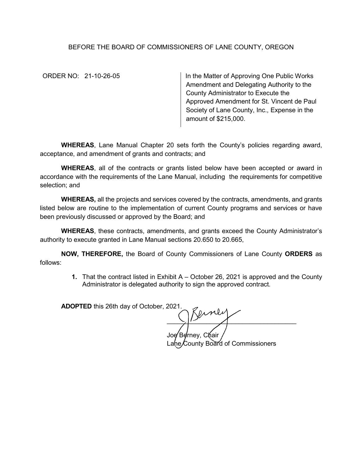## BEFORE THE BOARD OF COMMISSIONERS OF LANE COUNTY, OREGON

ORDER NO: 21-10-26-05 In the Matter of Approving One Public Works Amendment and Delegating Authority to the County Administrator to Execute the Approved Amendment for St. Vincent de Paul Society of Lane County, Inc., Expense in the amount of \$215,000.

**WHEREAS**, Lane Manual Chapter 20 sets forth the County's policies regarding award, acceptance, and amendment of grants and contracts; and

**WHEREAS**, all of the contracts or grants listed below have been accepted or award in accordance with the requirements of the Lane Manual, including the requirements for competitive selection; and

**WHEREAS,** all the projects and services covered by the contracts, amendments, and grants listed below are routine to the implementation of current County programs and services or have been previously discussed or approved by the Board; and

**WHEREAS**, these contracts, amendments, and grants exceed the County Administrator's authority to execute granted in Lane Manual sections 20.650 to 20.665,

**NOW, THEREFORE,** the Board of County Commissioners of Lane County **ORDERS** as follows:

> **1.** That the contract listed in Exhibit A – October 26, 2021 is approved and the County Administrator is delegated authority to sign the approved contract.

**ADOPTED** this 26th day of October, 2021.

 $\frac{1}{2}$ Joe⁄ Berney, Chair

Lane/County Board of Commissioners